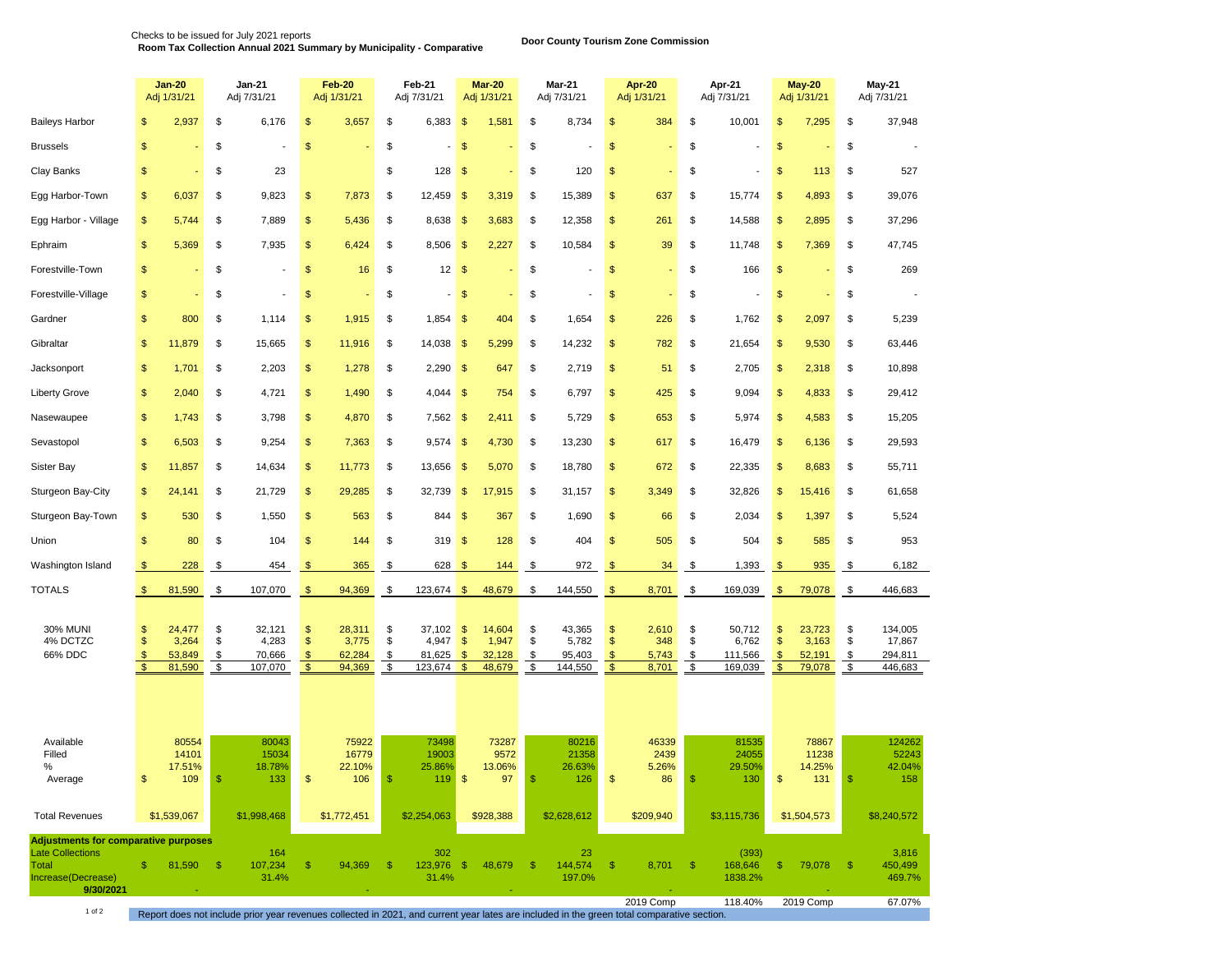**Door County Tourism Zone Commission** Checks to be issued for July 2021 reports **Room Tax Collection Annual 2021 Summary by Municipality - Comparative** 

|                                                                                                                           |                                           | <b>Jan-20</b><br>Adj 1/31/21                   |                      | Jan-21<br>Adj 7/31/21                |                                         | Feb-20<br>Adj 1/31/21               |                      | Feb-21<br>Adj 7/31/21                |                                 | Mar-20<br>Adj 1/31/21               |                      | Mar-21<br>Adj 7/31/21                |                                 | <b>Apr-20</b><br>Adj 1/31/21   |                      | Apr-21<br>Adj 7/31/21                          | <b>May-20</b><br>Adj 1/31/21    |                                     | <b>May-21</b><br>Adj 7/31/21 |                                                 |
|---------------------------------------------------------------------------------------------------------------------------|-------------------------------------------|------------------------------------------------|----------------------|--------------------------------------|-----------------------------------------|-------------------------------------|----------------------|--------------------------------------|---------------------------------|-------------------------------------|----------------------|--------------------------------------|---------------------------------|--------------------------------|----------------------|------------------------------------------------|---------------------------------|-------------------------------------|------------------------------|-------------------------------------------------|
| <b>Baileys Harbor</b>                                                                                                     | \$                                        | 2,937                                          | \$                   | 6,176                                | $\frac{1}{2}$                           | 3,657                               | \$                   | 6,383                                | $\frac{1}{2}$                   | 1,581                               | \$                   | 8,734                                | \$                              | 384                            | \$                   | 10,001                                         | \$                              | 7,295                               | \$                           | 37,948                                          |
| <b>Brussels</b>                                                                                                           | \$                                        |                                                | \$                   |                                      | $\sqrt{2}$                              |                                     | \$                   |                                      | \$                              |                                     | \$                   |                                      | \$                              |                                | \$                   |                                                | $\frac{1}{2}$                   |                                     | \$                           |                                                 |
| Clay Banks                                                                                                                | \$                                        |                                                | \$                   | 23                                   |                                         |                                     | \$                   | 128                                  | $\frac{1}{2}$                   |                                     | \$                   | 120                                  | \$                              |                                | \$                   |                                                | $\frac{1}{2}$                   | 113                                 | \$                           | 527                                             |
| Egg Harbor-Town                                                                                                           | \$                                        | 6,037                                          | \$                   | 9,823                                | \$                                      | 7,873                               | \$                   | 12,459                               | $\frac{1}{2}$                   | 3,319                               | \$                   | 15,389                               | \$                              | 637                            | \$                   | 15,774                                         | \$                              | 4,893                               | \$                           | 39,076                                          |
| Egg Harbor - Village                                                                                                      | \$                                        | 5,744                                          | \$                   | 7,889                                | $\sqrt[6]{3}$                           | 5,436                               | \$                   | 8,638                                | $\frac{1}{2}$                   | 3,683                               | \$                   | 12,358                               | \$                              | 261                            | \$                   | 14,588                                         | $\frac{1}{2}$                   | 2,895                               | \$                           | 37,296                                          |
| Ephraim                                                                                                                   | \$                                        | 5,369                                          | \$                   | 7,935                                | $\sqrt[6]{3}$                           | 6,424                               | \$                   | 8,506                                | $\frac{1}{2}$                   | 2,227                               | \$                   | 10,584                               | $\frac{1}{2}$                   | 39                             | \$                   | 11,748                                         | $\frac{1}{2}$                   | 7,369                               | \$                           | 47,745                                          |
| Forestville-Town                                                                                                          | \$                                        |                                                | \$                   |                                      | \$                                      | 16                                  | \$                   | 12                                   | $\sqrt{2}$                      |                                     | \$                   |                                      | $\$\$                           |                                | \$                   | 166                                            | $\sqrt[6]{\frac{1}{2}}$         |                                     | \$                           | 269                                             |
| Forestville-Village                                                                                                       | \$                                        |                                                | \$                   |                                      | $\frac{1}{2}$                           |                                     | \$                   | $\overline{\phantom{0}}$             | $\frac{1}{2}$                   |                                     | \$                   |                                      | \$                              |                                | \$                   |                                                | \$                              |                                     | \$                           |                                                 |
| Gardner                                                                                                                   | \$                                        | 800                                            | \$                   | 1,114                                | \$                                      | 1,915                               | \$                   | 1,854                                | \$                              | 404                                 | \$                   | 1,654                                | \$                              | 226                            | \$                   | 1,762                                          | \$                              | 2,097                               | \$                           | 5,239                                           |
| Gibraltar                                                                                                                 | \$                                        | 11,879                                         | \$                   | 15,665                               | $\sqrt[6]{3}$                           | 11,916                              | \$                   | 14,038                               | $\frac{1}{2}$                   | 5,299                               | \$                   | 14,232                               | \$                              | 782                            | \$                   | 21,654                                         | \$                              | 9,530                               | \$                           | 63,446                                          |
| Jacksonport                                                                                                               | \$                                        | 1,701                                          | \$                   | 2,203                                | \$                                      | 1,278                               | \$                   | 2,290                                | $\frac{1}{2}$                   | 647                                 | \$                   | 2,719                                | \$                              | 51                             | \$                   | 2,705                                          | $\frac{1}{2}$                   | 2,318                               | \$                           | 10,898                                          |
| <b>Liberty Grove</b>                                                                                                      | \$                                        | 2,040                                          | \$                   | 4,721                                | \$                                      | 1,490                               | \$                   | 4,044                                | $\frac{1}{2}$                   | 754                                 | \$                   | 6,797                                | \$                              | 425                            | \$                   | 9,094                                          | \$                              | 4,833                               | \$                           | 29,412                                          |
| Nasewaupee                                                                                                                | \$                                        | 1,743                                          | \$                   | 3,798                                | $\sqrt[6]{3}$                           | 4,870                               | \$                   | 7,562                                | $\frac{1}{2}$                   | 2,411                               | \$                   | 5,729                                | \$                              | 653                            | \$                   | 5,974                                          | $\frac{1}{2}$                   | 4,583                               | \$                           | 15,205                                          |
| Sevastopol                                                                                                                | \$                                        | 6,503                                          | \$                   | 9,254                                | \$                                      | 7,363                               | \$                   | 9,574                                | $\sqrt{2}$                      | 4,730                               | \$                   | 13,230                               | \$                              | 617                            | \$                   | 16,479                                         | \$                              | 6,136                               | \$                           | 29,593                                          |
| <b>Sister Bay</b>                                                                                                         | \$                                        | 11,857                                         | \$                   | 14,634                               | $\sqrt[6]{3}$                           | 11,773                              | \$                   | 13,656                               | $\frac{1}{2}$                   | 5,070                               | \$                   | 18,780                               | \$                              | 672                            | \$                   | 22,335                                         | \$                              | 8,683                               | \$                           | 55,711                                          |
| Sturgeon Bay-City                                                                                                         | \$                                        | 24,141                                         | \$                   | 21,729                               | \$                                      | 29,285                              | \$                   | 32,739                               | $\frac{1}{2}$                   | 17,915                              | \$                   | 31,157                               | \$                              | 3,349                          | \$                   | 32,826                                         | $\frac{1}{2}$                   | 15,416                              | \$                           | 61,658                                          |
| Sturgeon Bay-Town                                                                                                         | \$                                        | 530                                            | \$                   | 1,550                                | \$                                      | 563                                 | \$                   | 844                                  | $\mathsf{\$}$                   | 367                                 | \$                   | 1,690                                | $\frac{1}{2}$                   | 66                             | \$                   | 2,034                                          | \$                              | 1,397                               | \$                           | 5,524                                           |
| Union                                                                                                                     | \$                                        | 80                                             | \$                   | 104                                  | $\frac{1}{2}$                           | 144                                 | \$                   | 319                                  | $\frac{1}{2}$                   | 128                                 | \$                   | 404                                  | \$                              | 505                            | \$                   | 504                                            | $\frac{1}{2}$                   | 585                                 | \$                           | 953                                             |
| Washington Island                                                                                                         | \$                                        | 228                                            | \$                   | 454                                  | \$                                      | 365                                 | \$                   | 628                                  | $\mathbf{\$}$                   | 144                                 | \$                   | 972                                  | $\frac{1}{2}$                   | 34                             | \$                   | 1,393                                          | $\frac{1}{2}$                   | 935                                 | \$                           | 6,182                                           |
| <b>TOTALS</b>                                                                                                             | $\mathfrak{s}$                            | 81,590                                         | \$                   | 107,070                              | $\mathfrak{s}$                          | 94,369                              | \$                   | 123,674                              | $\sqrt[6]{3}$                   | 48,679                              | \$                   | 144,550                              | $\sqrt[6]{3}$                   | 8,701                          | \$                   | 169,039                                        | $\frac{1}{2}$                   | 79,078                              | \$                           | 446,683                                         |
| <b>30% MUNI</b><br>4% DCTZC<br>66% DDC                                                                                    | \$<br>\$<br>$\frac{1}{2}$<br>$\mathbf{s}$ | 24,477<br>3,264<br>53,849<br>81,590            | \$<br>\$<br>\$<br>\$ | 32,121<br>4,283<br>70,666<br>107,070 | \$<br>$\frac{1}{2}$<br>\$<br>$\sqrt{2}$ | 28,311<br>3,775<br>62,284<br>94,369 | \$<br>\$<br>\$<br>\$ | 37,102<br>4,947<br>81,625<br>123,674 | \$<br>$\frac{1}{2}$<br>\$<br>\$ | 14,604<br>1,947<br>32,128<br>48,679 | \$<br>\$<br>\$<br>\$ | 43,365<br>5,782<br>95,403<br>144,550 | \$<br>\$<br>\$<br>$\mathbf{\$}$ | 2,610<br>348<br>5,743<br>8,701 | \$<br>\$<br>\$<br>\$ | 50,712<br>6,762<br>111,566<br>169,039          | \$<br>\$<br>\$<br>$\sqrt[6]{3}$ | 23,723<br>3,163<br>52,191<br>79,078 | \$<br>\$<br>\$<br>\$         | 134,005<br>17,867<br>294,811<br>446,683         |
| Available<br>Filled<br>%<br>Average<br><b>Total Revenues</b>                                                              | \$                                        | 80554<br>14101<br>17.51%<br>109<br>\$1,539,067 |                      | 80043<br>15034<br>18.78%<br>133      | \$                                      | 75922<br>16779<br>22.10%<br>106     |                      | 73498<br>19003<br>25.86%<br>119      | $\frac{1}{2}$                   | 73287<br>9572<br>13.06%<br>97       |                      | 80216<br>21358<br>26.63%<br>126      | \$                              | 46339<br>2439<br>5.26%<br>86   |                      | 81535<br>24055<br>29.50%<br>130<br>\$3,115,736 | \$                              | 78867<br>11238<br>14.25%<br>131     |                              | 124262<br>52243<br>42.04%<br>158<br>\$8,240,572 |
|                                                                                                                           |                                           |                                                |                      | \$1,998,468                          |                                         | \$1,772,451                         |                      | \$2,254,063                          |                                 | \$928,388                           |                      | \$2,628,612                          |                                 | \$209,940                      |                      |                                                |                                 | \$1,504,573                         |                              |                                                 |
| <b>Adjustments for comparative purposes</b><br><b>Late Collections</b><br><b>Total</b><br>Increase(Decrease)<br>9/30/2021 | $\mathbb{S}$                              | 81,590 \$                                      |                      | 164<br>107,234<br>31.4%              | $\mathfrak{S}$                          | 94,369                              | - \$                 | 302<br>123,976 \$<br>31.4%           |                                 | 48,679                              | - \$                 | 23<br>144,574<br>197.0%              | \$                              | $8,701$ \$                     |                      | (393)<br>168,646<br>1838.2%                    | \$                              | 79,078 \$                           |                              | 3,816<br>450,499<br>469.7%                      |
|                                                                                                                           |                                           |                                                |                      |                                      |                                         |                                     |                      |                                      |                                 |                                     |                      |                                      |                                 | 2019 Comp                      |                      | 118.40%                                        |                                 | 2019 Comp                           |                              | 67.07%                                          |

Report does not include prior year revenues collected in 2021, and current year lates are included in the green total comparative section.